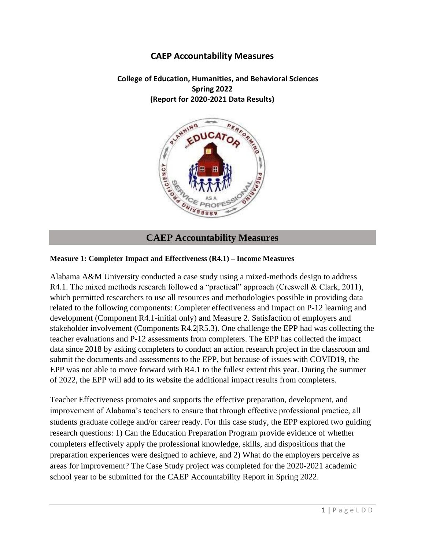# **CAEP Accountability Measures**

 **College of Education, Humanities, and Behavioral Sciences Spring 2022 (Report for 2020-2021 Data Results)**



# **CAEP Accountability Measures**

#### **Measure 1: Completer Impact and Effectiveness (R4.1) – Income Measures**

Alabama A&M University conducted a case study using a mixed-methods design to address R4.1. The mixed methods research followed a "practical" approach (Creswell & Clark, 2011), which permitted researchers to use all resources and methodologies possible in providing data related to the following components: Completer effectiveness and Impact on P-12 learning and development (Component R4.1-initial only) and Measure 2. Satisfaction of employers and stakeholder involvement (Components R4.2|R5.3). One challenge the EPP had was collecting the teacher evaluations and P-12 assessments from completers. The EPP has collected the impact data since 2018 by asking completers to conduct an action research project in the classroom and submit the documents and assessments to the EPP, but because of issues with COVID19, the EPP was not able to move forward with R4.1 to the fullest extent this year. During the summer of 2022, the EPP will add to its website the additional impact results from completers.

Teacher Effectiveness promotes and supports the effective preparation, development, and improvement of Alabama's teachers to ensure that through effective professional practice, all students graduate college and/or career ready. For this case study, the EPP explored two guiding research questions: 1) Can the Education Preparation Program provide evidence of whether completers effectively apply the professional knowledge, skills, and dispositions that the preparation experiences were designed to achieve, and 2) What do the employers perceive as areas for improvement? The Case Study project was completed for the 2020-2021 academic school year to be submitted for the CAEP Accountability Report in Spring 2022.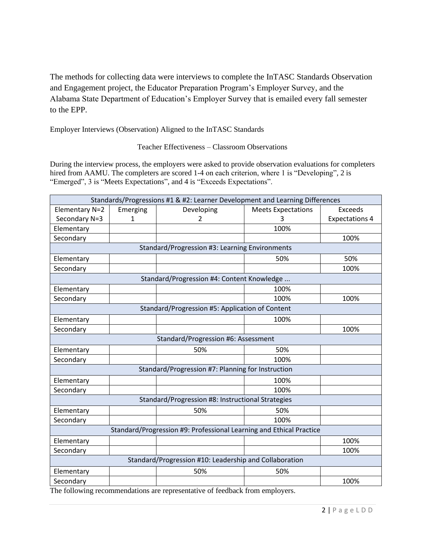The methods for collecting data were interviews to complete the InTASC Standards Observation and Engagement project, the Educator Preparation Program's Employer Survey, and the Alabama State Department of Education's Employer Survey that is emailed every fall semester to the EPP.

Employer Interviews (Observation) Aligned to the InTASC Standards

Teacher Effectiveness – Classroom Observations

During the interview process, the employers were asked to provide observation evaluations for completers hired from AAMU. The completers are scored 1-4 on each criterion, where 1 is "Developing", 2 is "Emerged", 3 is "Meets Expectations", and 4 is "Exceeds Expectations".

| Standards/Progressions #1 & #2: Learner Development and Learning Differences |                                                                     |                                                        |                           |                       |  |  |
|------------------------------------------------------------------------------|---------------------------------------------------------------------|--------------------------------------------------------|---------------------------|-----------------------|--|--|
| Elementary N=2                                                               | Emerging                                                            | Developing                                             | <b>Meets Expectations</b> | <b>Exceeds</b>        |  |  |
| Secondary N=3                                                                | 1                                                                   | 2                                                      | 3                         | <b>Expectations 4</b> |  |  |
| Elementary                                                                   |                                                                     |                                                        | 100%                      |                       |  |  |
| Secondary                                                                    |                                                                     |                                                        |                           | 100%                  |  |  |
|                                                                              |                                                                     | Standard/Progression #3: Learning Environments         |                           |                       |  |  |
| Elementary                                                                   |                                                                     |                                                        | 50%                       | 50%                   |  |  |
| Secondary                                                                    |                                                                     |                                                        |                           | 100%                  |  |  |
|                                                                              |                                                                     | Standard/Progression #4: Content Knowledge             |                           |                       |  |  |
| Elementary                                                                   |                                                                     |                                                        | 100%                      |                       |  |  |
| Secondary                                                                    |                                                                     |                                                        | 100%                      | 100%                  |  |  |
|                                                                              |                                                                     | Standard/Progression #5: Application of Content        |                           |                       |  |  |
| Elementary                                                                   |                                                                     |                                                        | 100%                      |                       |  |  |
| Secondary                                                                    |                                                                     |                                                        |                           | 100%                  |  |  |
|                                                                              |                                                                     | Standard/Progression #6: Assessment                    |                           |                       |  |  |
| Elementary                                                                   |                                                                     | 50%                                                    | 50%                       |                       |  |  |
| Secondary                                                                    |                                                                     |                                                        | 100%                      |                       |  |  |
|                                                                              |                                                                     | Standard/Progression #7: Planning for Instruction      |                           |                       |  |  |
| Elementary                                                                   |                                                                     |                                                        | 100%                      |                       |  |  |
| Secondary                                                                    |                                                                     |                                                        | 100%                      |                       |  |  |
|                                                                              |                                                                     | Standard/Progression #8: Instructional Strategies      |                           |                       |  |  |
| Elementary                                                                   |                                                                     | 50%                                                    | 50%                       |                       |  |  |
| Secondary                                                                    |                                                                     |                                                        | 100%                      |                       |  |  |
|                                                                              | Standard/Progression #9: Professional Learning and Ethical Practice |                                                        |                           |                       |  |  |
| Elementary                                                                   |                                                                     |                                                        |                           | 100%                  |  |  |
| Secondary                                                                    |                                                                     |                                                        |                           | 100%                  |  |  |
|                                                                              |                                                                     | Standard/Progression #10: Leadership and Collaboration |                           |                       |  |  |
| Elementary                                                                   |                                                                     | 50%                                                    | 50%                       |                       |  |  |
| Secondary                                                                    |                                                                     |                                                        |                           | 100%                  |  |  |

The following recommendations are representative of feedback from employers.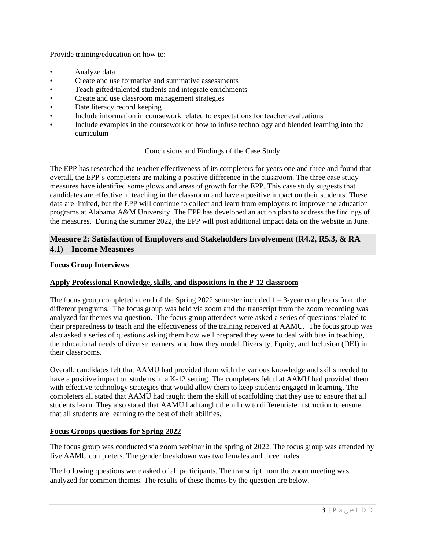Provide training/education on how to:

- Analyze data
- Create and use formative and summative assessments
- Teach gifted/talented students and integrate enrichments
- Create and use classroom management strategies
- Date literacy record keeping
- Include information in coursework related to expectations for teacher evaluations
- Include examples in the coursework of how to infuse technology and blended learning into the curriculum

# Conclusions and Findings of the Case Study

The EPP has researched the teacher effectiveness of its completers for years one and three and found that overall, the EPP's completers are making a positive difference in the classroom. The three case study measures have identified some glows and areas of growth for the EPP. This case study suggests that candidates are effective in teaching in the classroom and have a positive impact on their students. These data are limited, but the EPP will continue to collect and learn from employers to improve the education programs at Alabama A&M University. The EPP has developed an action plan to address the findings of the measures. During the summer 2022, the EPP will post additional impact data on the website in June.

# **Measure 2: Satisfaction of Employers and Stakeholders Involvement (R4.2, R5.3, & RA 4.1) – Income Measures**

# **Focus Group Interviews**

# **Apply Professional Knowledge, skills, and dispositions in the P-12 classroom**

The focus group completed at end of the Spring 2022 semester included  $1 - 3$ -year completers from the different programs. The focus group was held via zoom and the transcript from the zoom recording was analyzed for themes via question. The focus group attendees were asked a series of questions related to their preparedness to teach and the effectiveness of the training received at AAMU. The focus group was also asked a series of questions asking them how well prepared they were to deal with bias in teaching, the educational needs of diverse learners, and how they model Diversity, Equity, and Inclusion (DEI) in their classrooms.

Overall, candidates felt that AAMU had provided them with the various knowledge and skills needed to have a positive impact on students in a K-12 setting. The completers felt that AAMU had provided them with effective technology strategies that would allow them to keep students engaged in learning. The completers all stated that AAMU had taught them the skill of scaffolding that they use to ensure that all students learn. They also stated that AAMU had taught them how to differentiate instruction to ensure that all students are learning to the best of their abilities.

# **Focus Groups questions for Spring 2022**

The focus group was conducted via zoom webinar in the spring of 2022. The focus group was attended by five AAMU completers. The gender breakdown was two females and three males.

The following questions were asked of all participants. The transcript from the zoom meeting was analyzed for common themes. The results of these themes by the question are below.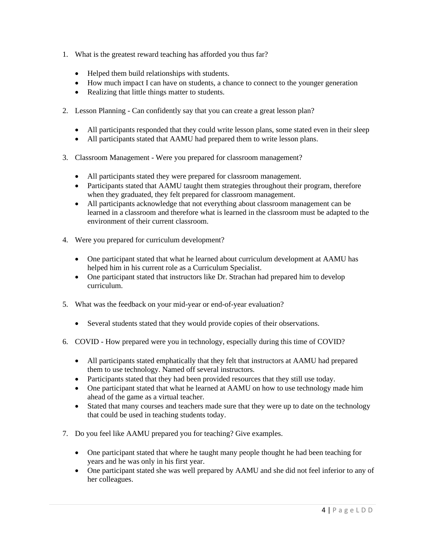- 1. What is the greatest reward teaching has afforded you thus far?
	- Helped them build relationships with students.
	- How much impact I can have on students, a chance to connect to the younger generation
	- Realizing that little things matter to students.
- 2. Lesson Planning Can confidently say that you can create a great lesson plan?
	- All participants responded that they could write lesson plans, some stated even in their sleep
	- All participants stated that AAMU had prepared them to write lesson plans.
- 3. Classroom Management Were you prepared for classroom management?
	- All participants stated they were prepared for classroom management.
	- Participants stated that AAMU taught them strategies throughout their program, therefore when they graduated, they felt prepared for classroom management.
	- All participants acknowledge that not everything about classroom management can be learned in a classroom and therefore what is learned in the classroom must be adapted to the environment of their current classroom.
- 4. Were you prepared for curriculum development?
	- One participant stated that what he learned about curriculum development at AAMU has helped him in his current role as a Curriculum Specialist.
	- One participant stated that instructors like Dr. Strachan had prepared him to develop curriculum.
- 5. What was the feedback on your mid-year or end-of-year evaluation?
	- Several students stated that they would provide copies of their observations.
- 6. COVID How prepared were you in technology, especially during this time of COVID?
	- All participants stated emphatically that they felt that instructors at AAMU had prepared them to use technology. Named off several instructors.
	- Participants stated that they had been provided resources that they still use today.
	- One participant stated that what he learned at AAMU on how to use technology made him ahead of the game as a virtual teacher.
	- Stated that many courses and teachers made sure that they were up to date on the technology that could be used in teaching students today.
- 7. Do you feel like AAMU prepared you for teaching? Give examples.
	- One participant stated that where he taught many people thought he had been teaching for years and he was only in his first year.
	- One participant stated she was well prepared by AAMU and she did not feel inferior to any of her colleagues.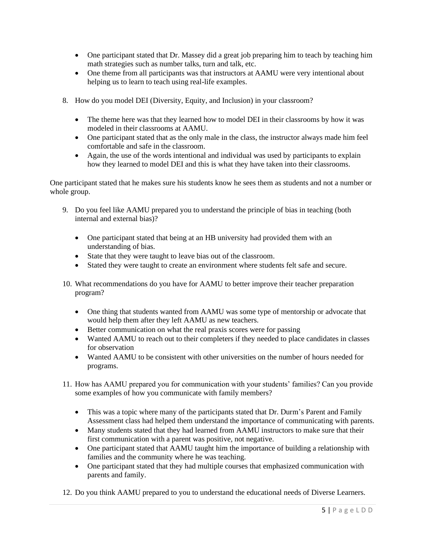- One participant stated that Dr. Massey did a great job preparing him to teach by teaching him math strategies such as number talks, turn and talk, etc.
- One theme from all participants was that instructors at AAMU were very intentional about helping us to learn to teach using real-life examples.
- 8. How do you model DEI (Diversity, Equity, and Inclusion) in your classroom?
	- The theme here was that they learned how to model DEI in their classrooms by how it was modeled in their classrooms at AAMU.
	- One participant stated that as the only male in the class, the instructor always made him feel comfortable and safe in the classroom.
	- Again, the use of the words intentional and individual was used by participants to explain how they learned to model DEI and this is what they have taken into their classrooms.

One participant stated that he makes sure his students know he sees them as students and not a number or whole group.

- 9. Do you feel like AAMU prepared you to understand the principle of bias in teaching (both internal and external bias)?
	- One participant stated that being at an HB university had provided them with an understanding of bias.
	- State that they were taught to leave bias out of the classroom.
	- Stated they were taught to create an environment where students felt safe and secure.
- 10. What recommendations do you have for AAMU to better improve their teacher preparation program?
	- One thing that students wanted from AAMU was some type of mentorship or advocate that would help them after they left AAMU as new teachers.
	- Better communication on what the real praxis scores were for passing
	- Wanted AAMU to reach out to their completers if they needed to place candidates in classes for observation
	- Wanted AAMU to be consistent with other universities on the number of hours needed for programs.
- 11. How has AAMU prepared you for communication with your students' families? Can you provide some examples of how you communicate with family members?
	- This was a topic where many of the participants stated that Dr. Durm's Parent and Family Assessment class had helped them understand the importance of communicating with parents.
	- Many students stated that they had learned from AAMU instructors to make sure that their first communication with a parent was positive, not negative.
	- One participant stated that AAMU taught him the importance of building a relationship with families and the community where he was teaching.
	- One participant stated that they had multiple courses that emphasized communication with parents and family.
- 12. Do you think AAMU prepared to you to understand the educational needs of Diverse Learners.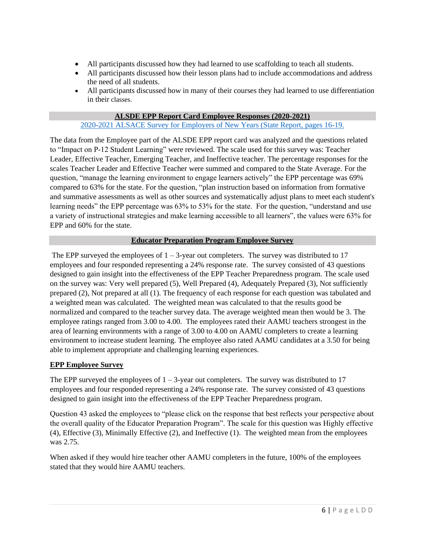- All participants discussed how they had learned to use scaffolding to teach all students.
- All participants discussed how their lesson plans had to include accommodations and address the need of all students.
- All participants discussed how in many of their courses they had learned to use differentiation in their classes.

## **ALSDE EPP Report Card Employee Responses (2020-2021)**

#### [2020-2021 ALSACE Survey for Employers of New Years \(State Report, pages 16-19.](https://www.alabamaachieves.org/wp-content/uploads/2021/10/Alabama-A_M-University-Higher-Ed-Report-Card-2021.pdf)

The data from the Employee part of the ALSDE EPP report card was analyzed and the questions related to "Impact on P-12 Student Learning" were reviewed. The scale used for this survey was: Teacher Leader, Effective Teacher, Emerging Teacher, and Ineffective teacher. The percentage responses for the scales Teacher Leader and Effective Teacher were summed and compared to the State Average. For the question, "manage the learning environment to engage learners actively" the EPP percentage was 69% compared to 63% for the state. For the question, "plan instruction based on information from formative and summative assessments as well as other sources and systematically adjust plans to meet each student's learning needs" the EPP percentage was 63% to 53% for the state. For the question, "understand and use a variety of instructional strategies and make learning accessible to all learners", the values were 63% for EPP and 60% for the state.

#### **Educator Preparation Program Employee Survey**

The EPP surveyed the employees of  $1 - 3$ -year out completers. The survey was distributed to 17 employees and four responded representing a 24% response rate. The survey consisted of 43 questions designed to gain insight into the effectiveness of the EPP Teacher Preparedness program. The scale used on the survey was: Very well prepared (5), Well Prepared (4), Adequately Prepared (3), Not sufficiently prepared (2), Not prepared at all (1). The frequency of each response for each question was tabulated and a weighted mean was calculated. The weighted mean was calculated to that the results good be normalized and compared to the teacher survey data. The average weighted mean then would be 3. The employee ratings ranged from 3.00 to 4.00. The employees rated their AAMU teachers strongest in the area of learning environments with a range of 3.00 to 4.00 on AAMU completers to create a learning environment to increase student learning. The employee also rated AAMU candidates at a 3.50 for being able to implement appropriate and challenging learning experiences.

#### **EPP Employee Survey**

The EPP surveyed the employees of  $1 - 3$ -year out completers. The survey was distributed to 17 employees and four responded representing a 24% response rate. The survey consisted of 43 questions designed to gain insight into the effectiveness of the EPP Teacher Preparedness program.

Question 43 asked the employees to "please click on the response that best reflects your perspective about the overall quality of the Educator Preparation Program". The scale for this question was Highly effective (4), Effective (3), Minimally Effective (2), and Ineffective (1). The weighted mean from the employees was 2.75.

When asked if they would hire teacher other AAMU completers in the future, 100% of the employees stated that they would hire AAMU teachers.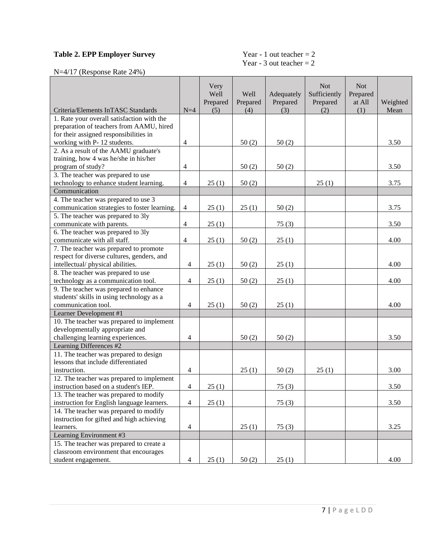# **Table 2. EPP Employer Survey**

# Year - 1 out teacher = 2<br>Year - 3 out teacher = 2

N=4/17 (Response Rate 24%)

| Criteria/Elements InTASC Standards           | $N=4$          | Very<br>Well<br>Prepared<br>(5) | Well<br>Prepared<br>(4) | Adequately<br>Prepared<br>(3) | <b>Not</b><br>Sufficiently<br>Prepared<br>(2) | <b>Not</b><br>Prepared<br>at All<br>(1) | Weighted<br>Mean |
|----------------------------------------------|----------------|---------------------------------|-------------------------|-------------------------------|-----------------------------------------------|-----------------------------------------|------------------|
| 1. Rate your overall satisfaction with the   |                |                                 |                         |                               |                                               |                                         |                  |
| preparation of teachers from AAMU, hired     |                |                                 |                         |                               |                                               |                                         |                  |
| for their assigned responsibilities in       |                |                                 |                         |                               |                                               |                                         |                  |
| working with P-12 students.                  | $\overline{4}$ |                                 | 50(2)                   | 50(2)                         |                                               |                                         | 3.50             |
| 2. As a result of the AAMU graduate's        |                |                                 |                         |                               |                                               |                                         |                  |
| training, how 4 was he/she in his/her        |                |                                 |                         |                               |                                               |                                         |                  |
| program of study?                            | 4              |                                 | 50(2)                   | 50(2)                         |                                               |                                         | 3.50             |
| 3. The teacher was prepared to use           |                |                                 |                         |                               |                                               |                                         |                  |
| technology to enhance student learning.      | $\overline{4}$ | 25(1)                           | 50(2)                   |                               | 25(1)                                         |                                         | 3.75             |
| Communication                                |                |                                 |                         |                               |                                               |                                         |                  |
|                                              |                |                                 |                         |                               |                                               |                                         |                  |
| 4. The teacher was prepared to use 3         |                |                                 |                         |                               |                                               |                                         |                  |
| communication strategies to foster learning. | $\overline{4}$ | 25(1)                           | 25(1)                   | 50(2)                         |                                               |                                         | 3.75             |
| 5. The teacher was prepared to 3ly           |                |                                 |                         |                               |                                               |                                         |                  |
| communicate with parents.                    | $\overline{4}$ | 25(1)                           |                         | 75(3)                         |                                               |                                         | 3.50             |
| 6. The teacher was prepared to 3ly           |                |                                 |                         |                               |                                               |                                         |                  |
| communicate with all staff.                  | $\overline{4}$ | 25(1)                           | 50(2)                   | 25(1)                         |                                               |                                         | 4.00             |
| 7. The teacher was prepared to promote       |                |                                 |                         |                               |                                               |                                         |                  |
| respect for diverse cultures, genders, and   |                |                                 |                         |                               |                                               |                                         |                  |
| intellectual/physical abilities.             | $\overline{4}$ | 25(1)                           | 50(2)                   | 25(1)                         |                                               |                                         | 4.00             |
| 8. The teacher was prepared to use           |                |                                 |                         |                               |                                               |                                         |                  |
| technology as a communication tool.          | $\overline{4}$ | 25(1)                           | 50(2)                   | 25(1)                         |                                               |                                         | 4.00             |
| 9. The teacher was prepared to enhance       |                |                                 |                         |                               |                                               |                                         |                  |
| students' skills in using technology as a    |                |                                 |                         |                               |                                               |                                         |                  |
| communication tool.                          | $\overline{4}$ | 25(1)                           | 50(2)                   | 25(1)                         |                                               |                                         | 4.00             |
| Learner Development #1                       |                |                                 |                         |                               |                                               |                                         |                  |
| 10. The teacher was prepared to implement    |                |                                 |                         |                               |                                               |                                         |                  |
| developmentally appropriate and              |                |                                 |                         |                               |                                               |                                         |                  |
| challenging learning experiences.            | $\overline{4}$ |                                 | 50(2)                   | 50(2)                         |                                               |                                         | 3.50             |
| Learning Differences #2                      |                |                                 |                         |                               |                                               |                                         |                  |
| 11. The teacher was prepared to design       |                |                                 |                         |                               |                                               |                                         |                  |
| lessons that include differentiated          |                |                                 |                         |                               |                                               |                                         |                  |
| instruction.                                 | $\overline{4}$ |                                 | 25(1)                   | 50(2)                         | 25(1)                                         |                                         | 3.00             |
| 12. The teacher was prepared to implement    |                |                                 |                         |                               |                                               |                                         |                  |
| instruction based on a student's IEP.        | 4              | 25(1)                           |                         | 75(3)                         |                                               |                                         | 3.50             |
| 13. The teacher was prepared to modify       |                |                                 |                         |                               |                                               |                                         |                  |
| instruction for English language learners.   | $\overline{4}$ | 25(1)                           |                         | 75(3)                         |                                               |                                         | 3.50             |
| 14. The teacher was prepared to modify       |                |                                 |                         |                               |                                               |                                         |                  |
| instruction for gifted and high achieving    |                |                                 |                         |                               |                                               |                                         |                  |
| learners.                                    | $\overline{4}$ |                                 | 25(1)                   | 75(3)                         |                                               |                                         | 3.25             |
| Learning Environment #3                      |                |                                 |                         |                               |                                               |                                         |                  |
| 15. The teacher was prepared to create a     |                |                                 |                         |                               |                                               |                                         |                  |
| classroom environment that encourages        |                |                                 |                         |                               |                                               |                                         |                  |
| student engagement.                          | $\overline{4}$ | 25(1)                           | 50(2)                   | 25(1)                         |                                               |                                         | 4.00             |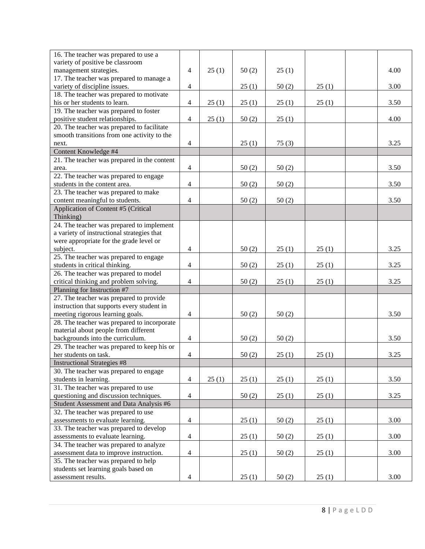| 16. The teacher was prepared to use a       |                |       |       |       |       |      |
|---------------------------------------------|----------------|-------|-------|-------|-------|------|
| variety of positive be classroom            |                |       |       |       |       |      |
| management strategies.                      | 4              | 25(1) | 50(2) | 25(1) |       | 4.00 |
| 17. The teacher was prepared to manage a    |                |       |       |       |       |      |
| variety of discipline issues.               | $\overline{4}$ |       | 25(1) | 50(2) | 25(1) | 3.00 |
| 18. The teacher was prepared to motivate    |                |       |       |       |       |      |
| his or her students to learn.               | $\overline{4}$ | 25(1) | 25(1) | 25(1) | 25(1) | 3.50 |
| 19. The teacher was prepared to foster      |                |       |       |       |       |      |
| positive student relationships.             | $\overline{4}$ | 25(1) | 50(2) | 25(1) |       | 4.00 |
| 20. The teacher was prepared to facilitate  |                |       |       |       |       |      |
| smooth transitions from one activity to the |                |       |       |       |       |      |
| next.                                       | $\overline{4}$ |       | 25(1) | 75(3) |       | 3.25 |
| Content Knowledge #4                        |                |       |       |       |       |      |
| 21. The teacher was prepared in the content |                |       |       |       |       |      |
| area.                                       | $\overline{4}$ |       | 50(2) | 50(2) |       | 3.50 |
| 22. The teacher was prepared to engage      |                |       |       |       |       |      |
| students in the content area.               | $\overline{4}$ |       | 50(2) | 50(2) |       | 3.50 |
| 23. The teacher was prepared to make        |                |       |       |       |       |      |
| content meaningful to students.             | $\overline{4}$ |       | 50(2) | 50(2) |       | 3.50 |
| Application of Content #5 (Critical         |                |       |       |       |       |      |
| Thinking)                                   |                |       |       |       |       |      |
| 24. The teacher was prepared to implement   |                |       |       |       |       |      |
| a variety of instructional strategies that  |                |       |       |       |       |      |
| were appropriate for the grade level or     |                |       |       |       |       |      |
| subject.                                    | 4              |       | 50(2) | 25(1) | 25(1) | 3.25 |
| 25. The teacher was prepared to engage      |                |       |       |       |       |      |
| students in critical thinking.              | $\overline{4}$ |       | 50(2) | 25(1) | 25(1) | 3.25 |
| 26. The teacher was prepared to model       |                |       |       |       |       |      |
| critical thinking and problem solving.      | $\overline{4}$ |       | 50(2) | 25(1) | 25(1) | 3.25 |
| Planning for Instruction #7                 |                |       |       |       |       |      |
| 27. The teacher was prepared to provide     |                |       |       |       |       |      |
| instruction that supports every student in  |                |       |       |       |       |      |
| meeting rigorous learning goals.            | $\overline{4}$ |       | 50(2) | 50(2) |       | 3.50 |
| 28. The teacher was prepared to incorporate |                |       |       |       |       |      |
| material about people from different        |                |       |       |       |       |      |
| backgrounds into the curriculum.            | $\overline{4}$ |       | 50(2) | 50(2) |       | 3.50 |
| 29. The teacher was prepared to keep his or |                |       |       |       |       |      |
| her students on task.                       | $\overline{4}$ |       | 50(2) | 25(1) | 25(1) | 3.25 |
| <b>Instructional Strategies #8</b>          |                |       |       |       |       |      |
| 30. The teacher was prepared to engage      |                |       |       |       |       |      |
| students in learning.                       | $\overline{4}$ | 25(1) | 25(1) | 25(1) | 25(1) | 3.50 |
| 31. The teacher was prepared to use         |                |       |       |       |       |      |
| questioning and discussion techniques.      | $\overline{4}$ |       | 50(2) | 25(1) | 25(1) | 3.25 |
| Student Assessment and Data Analysis #6     |                |       |       |       |       |      |
| 32. The teacher was prepared to use         |                |       |       |       |       |      |
| assessments to evaluate learning.           | $\overline{4}$ |       | 25(1) | 50(2) | 25(1) | 3.00 |
| 33. The teacher was prepared to develop     |                |       |       |       |       |      |
| assessments to evaluate learning.           | $\overline{4}$ |       | 25(1) | 50(2) | 25(1) | 3.00 |
| 34. The teacher was prepared to analyze     |                |       |       |       |       |      |
| assessment data to improve instruction.     | $\overline{4}$ |       | 25(1) | 50(2) | 25(1) | 3.00 |
| 35. The teacher was prepared to help        |                |       |       |       |       |      |
| students set learning goals based on        |                |       |       |       |       |      |
| assessment results.                         | 4              |       | 25(1) | 50(2) | 25(1) | 3.00 |
|                                             |                |       |       |       |       |      |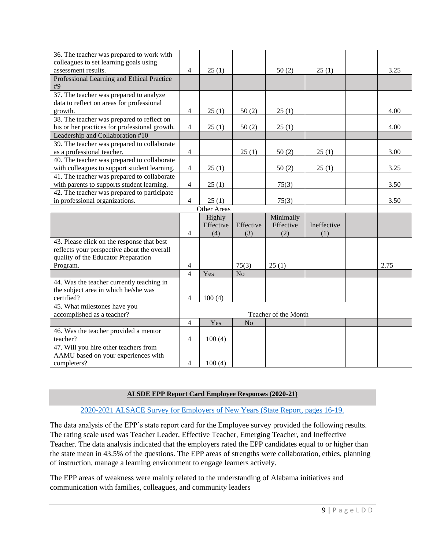| 36. The teacher was prepared to work with     |                      |             |                |           |             |  |      |
|-----------------------------------------------|----------------------|-------------|----------------|-----------|-------------|--|------|
| colleagues to set learning goals using        |                      |             |                |           |             |  |      |
| assessment results.                           | 4                    | 25(1)       |                | 50(2)     | 25(1)       |  | 3.25 |
| Professional Learning and Ethical Practice    |                      |             |                |           |             |  |      |
| #9                                            |                      |             |                |           |             |  |      |
| 37. The teacher was prepared to analyze       |                      |             |                |           |             |  |      |
| data to reflect on areas for professional     |                      |             |                |           |             |  |      |
| growth.                                       | $\overline{4}$       | 25(1)       | 50(2)          | 25(1)     |             |  | 4.00 |
| 38. The teacher was prepared to reflect on    |                      |             |                |           |             |  |      |
| his or her practices for professional growth. | $\overline{4}$       | 25(1)       | 50(2)          | 25(1)     |             |  | 4.00 |
| Leadership and Collaboration #10              |                      |             |                |           |             |  |      |
| 39. The teacher was prepared to collaborate   |                      |             |                |           |             |  |      |
| as a professional teacher.                    | $\overline{4}$       |             | 25(1)          | 50(2)     | 25(1)       |  | 3.00 |
| 40. The teacher was prepared to collaborate   |                      |             |                |           |             |  |      |
| with colleagues to support student learning.  | $\overline{4}$       | 25(1)       |                | 50(2)     | 25(1)       |  | 3.25 |
| 41. The teacher was prepared to collaborate   |                      |             |                |           |             |  |      |
| with parents to supports student learning.    | $\overline{4}$       | 25(1)       |                | 75(3)     |             |  | 3.50 |
| 42. The teacher was prepared to participate   |                      |             |                |           |             |  |      |
| in professional organizations.                | $\overline{4}$       | 25(1)       |                | 75(3)     |             |  | 3.50 |
|                                               |                      | Other Areas |                |           |             |  |      |
|                                               |                      | Highly      |                | Minimally |             |  |      |
|                                               |                      | Effective   | Effective      | Effective | Ineffective |  |      |
|                                               | $\overline{4}$       | (4)         | (3)            | (2)       | (1)         |  |      |
| 43. Please click on the response that best    |                      |             |                |           |             |  |      |
| reflects your perspective about the overall   |                      |             |                |           |             |  |      |
| quality of the Educator Preparation           |                      |             |                |           |             |  |      |
| Program.                                      | 4                    |             | 75(3)          | 25(1)     |             |  | 2.75 |
|                                               | $\overline{4}$       | Yes         | N <sub>o</sub> |           |             |  |      |
| 44. Was the teacher currently teaching in     |                      |             |                |           |             |  |      |
| the subject area in which he/she was          |                      |             |                |           |             |  |      |
| certified?                                    | $\overline{4}$       | 100(4)      |                |           |             |  |      |
| 45. What milestones have you                  |                      |             |                |           |             |  |      |
| accomplished as a teacher?                    | Teacher of the Month |             |                |           |             |  |      |
|                                               | $\overline{4}$       | Yes         | N <sub>o</sub> |           |             |  |      |
| 46. Was the teacher provided a mentor         |                      |             |                |           |             |  |      |
| teacher?                                      | 4                    | 100(4)      |                |           |             |  |      |
| 47. Will you hire other teachers from         |                      |             |                |           |             |  |      |
| AAMU based on your experiences with           |                      |             |                |           |             |  |      |
|                                               |                      |             |                |           |             |  |      |

#### **ALSDE EPP Report Card Employee Responses (2020-21)**

#### [2020-2021 ALSACE Survey for Employers of New Years \(State Report, pages 16-19.](https://www.alabamaachieves.org/wp-content/uploads/2021/10/Alabama-A_M-University-Higher-Ed-Report-Card-2021.pdf)

The data analysis of the EPP's state report card for the Employee survey provided the following results. The rating scale used was Teacher Leader, Effective Teacher, Emerging Teacher, and Ineffective Teacher. The data analysis indicated that the employers rated the EPP candidates equal to or higher than the state mean in 43.5% of the questions. The EPP areas of strengths were collaboration, ethics, planning of instruction, manage a learning environment to engage learners actively.

The EPP areas of weakness were mainly related to the understanding of Alabama initiatives and communication with families, colleagues, and community leaders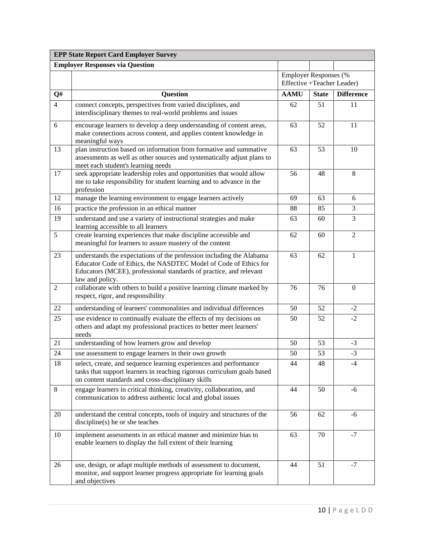|                | <b>EPP State Report Card Employer Survey</b>                                                                                                                                                                                      |                                                            |              |                   |  |  |  |
|----------------|-----------------------------------------------------------------------------------------------------------------------------------------------------------------------------------------------------------------------------------|------------------------------------------------------------|--------------|-------------------|--|--|--|
|                | <b>Employer Responses via Question</b>                                                                                                                                                                                            |                                                            |              |                   |  |  |  |
|                |                                                                                                                                                                                                                                   | <b>Employer Responses</b> (%<br>Effective +Teacher Leader) |              |                   |  |  |  |
| Q#             | Question                                                                                                                                                                                                                          | <b>AAMU</b>                                                | <b>State</b> | <b>Difference</b> |  |  |  |
| $\overline{4}$ | connect concepts, perspectives from varied disciplines, and<br>interdisciplinary themes to real-world problems and issues                                                                                                         | 62                                                         | 51           | 11                |  |  |  |
| 6              | encourage learners to develop a deep understanding of content areas,<br>make connections across content, and applies content knowledge in<br>meaningful ways                                                                      | 63                                                         | 52           | 11                |  |  |  |
| 13             | plan instruction based on information from formative and summative<br>assessments as well as other sources and systematically adjust plans to<br>meet each student's learning needs                                               | 63                                                         | 53           | 10                |  |  |  |
| 17             | seek appropriate leadership roles and opportunities that would allow<br>me to take responsibility for student learning and to advance in the<br>profession                                                                        | 56                                                         | 48           | 8                 |  |  |  |
| 12             | manage the learning environment to engage learners actively                                                                                                                                                                       | 69                                                         | 63           | 6                 |  |  |  |
| 16             | practice the profession in an ethical manner                                                                                                                                                                                      | 88                                                         | 85           | 3                 |  |  |  |
| 19             | understand and use a variety of instructional strategies and make<br>learning accessible to all learners                                                                                                                          | 63                                                         | 60           | 3                 |  |  |  |
| 5              | create learning experiences that make discipline accessible and<br>meaningful for learners to assure mastery of the content                                                                                                       | 62                                                         | 60           | $\overline{2}$    |  |  |  |
| 23             | understands the expectations of the profession including the Alabama<br>Educator Code of Ethics, the NASDTEC Model of Code of Ethics for<br>Educators (MCEE), professional standards of practice, and relevant<br>law and policy. | 63                                                         | 62           | $\mathbf{1}$      |  |  |  |
| $\overline{2}$ | collaborate with others to build a positive learning climate marked by<br>respect, rigor, and responsibility                                                                                                                      | 76                                                         | 76           | $\boldsymbol{0}$  |  |  |  |
| 22             | understanding of learners' commonalities and individual differences                                                                                                                                                               | 50                                                         | 52           | $-2$              |  |  |  |
| 25             | use evidence to continually evaluate the effects of my decisions on<br>others and adapt my professional practices to better meet learners'<br>needs                                                                               | 50                                                         | 52           | $-2$              |  |  |  |
| 21             | understanding of how learners grow and develop                                                                                                                                                                                    | 50                                                         | 53           | $-3$              |  |  |  |
| 24             | use assessment to engage learners in their own growth                                                                                                                                                                             | 50                                                         | 53           | $-3$              |  |  |  |
| 18             | select, create, and sequence learning experiences and performance<br>tasks that support learners in reaching rigorous curriculum goals based<br>on content standards and cross-disciplinary skills                                | 44                                                         | 48           | -4                |  |  |  |
| 8              | engage learners in critical thinking, creativity, collaboration, and<br>communication to address authentic local and global issues                                                                                                | 44                                                         | 50           | $-6$              |  |  |  |
| 20             | understand the central concepts, tools of inquiry and structures of the<br>$discpline(s)$ he or she teaches                                                                                                                       | 56                                                         | 62           | $-6$              |  |  |  |
| 10             | implement assessments in an ethical manner and minimize bias to<br>enable learners to display the full extent of their learning                                                                                                   | 63                                                         | 70           | $-7$              |  |  |  |
| 26             | use, design, or adapt multiple methods of assessment to document,<br>monitor, and support learner progress appropriate for learning goals<br>and objectives                                                                       | 44                                                         | 51           | $-7$              |  |  |  |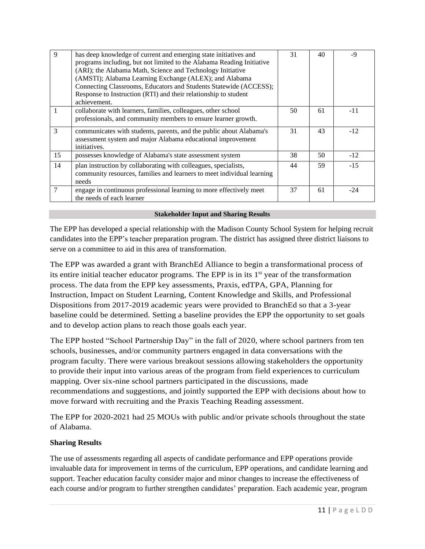| 9             | has deep knowledge of current and emerging state initiatives and<br>programs including, but not limited to the Alabama Reading Initiative<br>(ARI); the Alabama Math, Science and Technology Initiative<br>(AMSTI); Alabama Learning Exchange (ALEX); and Alabama<br>Connecting Classrooms, Educators and Students Statewide (ACCESS);<br>Response to Instruction (RTI) and their relationship to student<br>achievement. | 31 | 40 | -9    |
|---------------|---------------------------------------------------------------------------------------------------------------------------------------------------------------------------------------------------------------------------------------------------------------------------------------------------------------------------------------------------------------------------------------------------------------------------|----|----|-------|
|               | collaborate with learners, families, colleagues, other school<br>professionals, and community members to ensure learner growth.                                                                                                                                                                                                                                                                                           | 50 | 61 | -11   |
| $\mathcal{E}$ | communicates with students, parents, and the public about Alabama's<br>assessment system and major Alabama educational improvement<br>initiatives.                                                                                                                                                                                                                                                                        | 31 | 43 | $-12$ |
| 15            | possesses knowledge of Alabama's state assessment system                                                                                                                                                                                                                                                                                                                                                                  | 38 | 50 | $-12$ |
| 14            | plan instruction by collaborating with colleagues, specialists,<br>community resources, families and learners to meet individual learning<br>needs                                                                                                                                                                                                                                                                        | 44 | 59 | $-15$ |
| 7             | engage in continuous professional learning to more effectively meet<br>the needs of each learner                                                                                                                                                                                                                                                                                                                          | 37 | 61 | $-24$ |

#### **Stakeholder Input and Sharing Results**

The EPP has developed a special relationship with the Madison County School System for helping recruit candidates into the EPP's teacher preparation program. The district has assigned three district liaisons to serve on a committee to aid in this area of transformation.

The EPP was awarded a grant with BranchEd Alliance to begin a transformational process of its entire initial teacher educator programs. The EPP is in its 1<sup>st</sup> year of the transformation process. The data from the EPP key assessments, Praxis, edTPA, GPA, Planning for Instruction, Impact on Student Learning, Content Knowledge and Skills, and Professional Dispositions from 2017-2019 academic years were provided to BranchEd so that a 3-year baseline could be determined. Setting a baseline provides the EPP the opportunity to set goals and to develop action plans to reach those goals each year.

The EPP hosted "School Partnership Day" in the fall of 2020, where school partners from ten schools, businesses, and/or community partners engaged in data conversations with the program faculty. There were various breakout sessions allowing stakeholders the opportunity to provide their input into various areas of the program from field experiences to curriculum mapping. Over six-nine school partners participated in the discussions, made recommendations and suggestions, and jointly supported the EPP with decisions about how to move forward with recruiting and the Praxis Teaching Reading assessment.

The EPP for 2020-2021 had 25 MOUs with public and/or private schools throughout the state of Alabama.

# **Sharing Results**

The use of assessments regarding all aspects of candidate performance and EPP operations provide invaluable data for improvement in terms of the curriculum, EPP operations, and candidate learning and support. Teacher education faculty consider major and minor changes to increase the effectiveness of each course and/or program to further strengthen candidates' preparation. Each academic year, program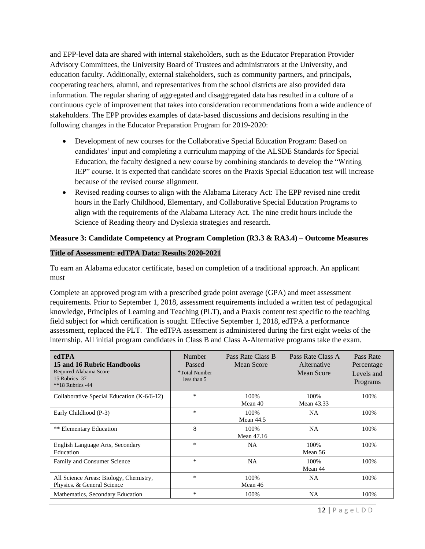and EPP-level data are shared with internal stakeholders, such as the Educator Preparation Provider Advisory Committees, the University Board of Trustees and administrators at the University, and education faculty. Additionally, external stakeholders, such as community partners, and principals, cooperating teachers, alumni, and representatives from the school districts are also provided data information. The regular sharing of aggregated and disaggregated data has resulted in a culture of a continuous cycle of improvement that takes into consideration recommendations from a wide audience of stakeholders. The EPP provides examples of data-based discussions and decisions resulting in the following changes in the Educator Preparation Program for 2019-2020:

- Development of new courses for the Collaborative Special Education Program: Based on candidates' input and completing a curriculum mapping of the ALSDE Standards for Special Education, the faculty designed a new course by combining standards to develop the "Writing IEP" course. It is expected that candidate scores on the Praxis Special Education test will increase because of the revised course alignment.
- Revised reading courses to align with the Alabama Literacy Act: The EPP revised nine credit hours in the Early Childhood, Elementary, and Collaborative Special Education Programs to align with the requirements of the Alabama Literacy Act. The nine credit hours include the Science of Reading theory and Dyslexia strategies and research.

# **Measure 3: Candidate Competency at Program Completion (R3.3 & RA3.4) – Outcome Measures**

#### **Title of Assessment: edTPA Data: Results 2020-2021**

To earn an Alabama educator certificate, based on completion of a traditional approach. An applicant must

Complete an approved program with a prescribed grade point average (GPA) and meet assessment requirements. Prior to September 1, 2018, assessment requirements included a written test of pedagogical knowledge, Principles of Learning and Teaching (PLT), and a Praxis content test specific to the teaching field subject for which certification is sought. Effective September 1, 2018, edTPA a performance assessment, replaced the PLT. The edTPA assessment is administered during the first eight weeks of the internship. All initial program candidates in Class B and Class A-Alternative programs take the exam.

| edTPA<br>15 and 16 Rubric Handbooks<br>Required Alabama Score<br>15 Rubrics= $37$<br>$**18$ Rubrics -44 | Number<br>Passed<br>*Total Number<br>less than 5 | Pass Rate Class B<br>Mean Score | Pass Rate Class A<br>Alternative<br>Mean Score | Pass Rate<br>Percentage<br>Levels and<br>Programs |
|---------------------------------------------------------------------------------------------------------|--------------------------------------------------|---------------------------------|------------------------------------------------|---------------------------------------------------|
| Collaborative Special Education $(K-6/6-12)$                                                            | $\ast$                                           | 100%<br>Mean 40                 | 100%<br>Mean 43.33                             | 100%                                              |
| Early Childhood (P-3)                                                                                   | $\ast$                                           | 100%<br><b>Mean 44.5</b>        | <b>NA</b>                                      | 100%                                              |
| ** Elementary Education                                                                                 | 8                                                | 100%<br>Mean 47.16              | <b>NA</b>                                      | 100%                                              |
| English Language Arts, Secondary<br>Education                                                           | $\ast$                                           | NA.                             | 100%<br>Mean 56                                | 100%                                              |
| Family and Consumer Science                                                                             | $\ast$                                           | NA                              | 100%<br>Mean 44                                | 100%                                              |
| All Science Areas: Biology, Chemistry,<br>Physics. & General Science                                    | $\ast$                                           | 100%<br>Mean 46                 | NA                                             | 100%                                              |
| Mathematics, Secondary Education                                                                        | *                                                | 100%                            | <b>NA</b>                                      | 100%                                              |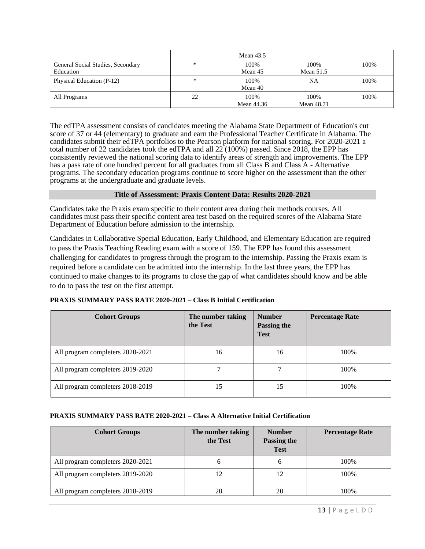|                                                |        | Mean $43.5$        |                    |      |
|------------------------------------------------|--------|--------------------|--------------------|------|
| General Social Studies, Secondary<br>Education | *      | 100%<br>Mean 45    | 100%<br>Mean 51.5  | 100% |
| Physical Education (P-12)                      | $\ast$ | 100%<br>Mean 40    | NA                 | 100% |
| All Programs                                   | 22     | 100%<br>Mean 44.36 | 100%<br>Mean 48.71 | 100% |

The edTPA assessment consists of candidates meeting the Alabama State Department of Education's cut score of 37 or 44 (elementary) to graduate and earn the Professional Teacher Certificate in Alabama. The candidates submit their edTPA portfolios to the Pearson platform for national scoring. For 2020-2021 a total number of 22 candidates took the edTPA and all  $22(100%)$  passed. Since 2018, the EPP has consistently reviewed the national scoring data to identify areas of strength and improvements. The EPP has a pass rate of one hundred percent for all graduates from all Class B and Class A - Alternative programs. The secondary education programs continue to score higher on the assessment than the other programs at the undergraduate and graduate levels.

#### **Title of Assessment: Praxis Content Data: Results 2020-2021**

Candidates take the Praxis exam specific to their content area during their methods courses. All candidates must pass their specific content area test based on the required scores of the Alabama State Department of Education before admission to the internship.

Candidates in Collaborative Special Education, Early Childhood, and Elementary Education are required to pass the Praxis Teaching Reading exam with a score of 159. The EPP has found this assessment challenging for candidates to progress through the program to the internship. Passing the Praxis exam is required before a candidate can be admitted into the internship. In the last three years, the EPP has continued to make changes to its programs to close the gap of what candidates should know and be able to do to pass the test on the first attempt.

#### **PRAXIS SUMMARY PASS RATE 2020-2021 – Class B Initial Certification**

| <b>Cohort Groups</b>             | The number taking<br>the Test | <b>Number</b><br>Passing the<br><b>Test</b> | <b>Percentage Rate</b> |
|----------------------------------|-------------------------------|---------------------------------------------|------------------------|
| All program completers 2020-2021 | 16                            | 16                                          | 100%                   |
| All program completers 2019-2020 |                               | 7                                           | 100\%                  |
| All program completers 2018-2019 |                               | 15                                          | 100\%                  |

#### **PRAXIS SUMMARY PASS RATE 2020-2021 – Class A Alternative Initial Certification**

| <b>Cohort Groups</b>             | The number taking<br>the Test | <b>Number</b><br>Passing the<br><b>Test</b> | <b>Percentage Rate</b> |
|----------------------------------|-------------------------------|---------------------------------------------|------------------------|
| All program completers 2020-2021 | n                             | O                                           | 100\%                  |
| All program completers 2019-2020 |                               | 12                                          | 100\%                  |
| All program completers 2018-2019 | 20                            | 20                                          | 100%                   |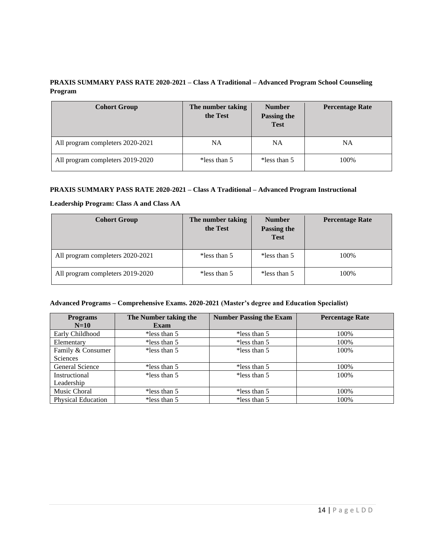# **PRAXIS SUMMARY PASS RATE 2020-2021 – Class A Traditional – Advanced Program School Counseling Program**

| <b>Cohort Group</b>              | The number taking<br>the Test | <b>Number</b><br><b>Passing the</b><br><b>Test</b> | <b>Percentage Rate</b> |
|----------------------------------|-------------------------------|----------------------------------------------------|------------------------|
| All program completers 2020-2021 | <b>NA</b>                     | NA                                                 | NA                     |
| All program completers 2019-2020 | *less than $5$                | *less than $5$                                     | 100%                   |

#### **PRAXIS SUMMARY PASS RATE 2020-2021 – Class A Traditional – Advanced Program Instructional**

#### **Leadership Program: Class A and Class AA**

| <b>Cohort Group</b>              | The number taking<br>the Test | <b>Number</b><br>Passing the<br><b>Test</b> | <b>Percentage Rate</b> |
|----------------------------------|-------------------------------|---------------------------------------------|------------------------|
| All program completers 2020-2021 | *less than 5                  | *less than 5                                | 100%                   |
| All program completers 2019-2020 | *less than 5                  | *less than 5                                | 100%                   |

#### **Advanced Programs – Comprehensive Exams. 2020-2021 (Master's degree and Education Specialist)**

| <b>Programs</b><br>$N=10$ | The Number taking the<br><b>Exam</b> | <b>Number Passing the Exam</b> | <b>Percentage Rate</b> |
|---------------------------|--------------------------------------|--------------------------------|------------------------|
| Early Childhood           | *less than $5$                       | *less than 5                   | 100%                   |
| Elementary                | *less than $5$                       | *less than 5                   | 100%                   |
| Family & Consumer         | *less than $5$                       | *less than $5$                 | 100%                   |
| <b>Sciences</b>           |                                      |                                |                        |
| General Science           | *less than $5$                       | *less than 5                   | 100%                   |
| Instructional             | *less than $5$                       | *less than $5$                 | 100%                   |
| Leadership                |                                      |                                |                        |
| Music Choral              | *less than $5$                       | *less than 5                   | 100%                   |
| <b>Physical Education</b> | *less than $5$                       | *less than 5                   | 100%                   |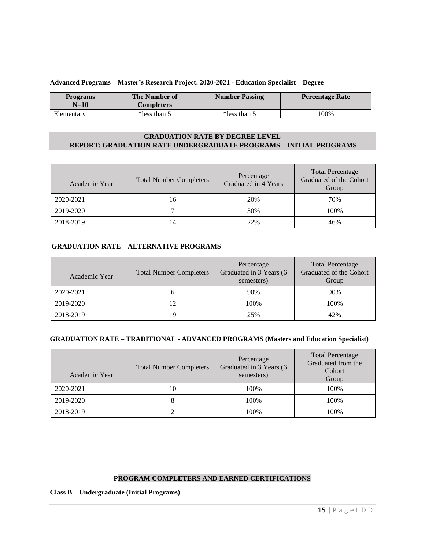#### **Advanced Programs – Master's Research Project. 2020-2021 - Education Specialist – Degree**

| <b>Programs</b><br>$N=10$ | The Number of<br>Completers | <b>Number Passing</b> | <b>Percentage Rate</b> |
|---------------------------|-----------------------------|-----------------------|------------------------|
| Elementary                | *less than 5                | *less than 5          | 100%                   |

#### **GRADUATION RATE BY DEGREE LEVEL REPORT: GRADUATION RATE UNDERGRADUATE PROGRAMS – INITIAL PROGRAMS**

| Academic Year | <b>Total Number Completers</b> | Percentage<br>Graduated in 4 Years | <b>Total Percentage</b><br>Graduated of the Cohort<br>Group |
|---------------|--------------------------------|------------------------------------|-------------------------------------------------------------|
| 2020-2021     | 16                             | 20%                                | 70%                                                         |
| 2019-2020     |                                | 30%                                | 100%                                                        |
| 2018-2019     | 14                             | 22%                                | 46%                                                         |

#### **GRADUATION RATE – ALTERNATIVE PROGRAMS**

| Academic Year | <b>Total Number Completers</b> | Percentage<br>Graduated in 3 Years (6<br>semesters) | <b>Total Percentage</b><br>Graduated of the Cohort<br>Group |
|---------------|--------------------------------|-----------------------------------------------------|-------------------------------------------------------------|
| 2020-2021     | n                              | 90%                                                 | 90%                                                         |
| 2019-2020     | 12                             | 100%                                                | 100%                                                        |
| 2018-2019     | 19                             | 25%                                                 | 42%                                                         |

#### **GRADUATION RATE – TRADITIONAL - ADVANCED PROGRAMS (Masters and Education Specialist)**

| Academic Year | <b>Total Number Completers</b> | Percentage<br>Graduated in 3 Years (6<br>semesters) | <b>Total Percentage</b><br>Graduated from the<br>Cohort<br>Group |  |
|---------------|--------------------------------|-----------------------------------------------------|------------------------------------------------------------------|--|
| 2020-2021     | 10                             | 100%                                                | 100%                                                             |  |
| 2019-2020     |                                | 100%                                                | 100%                                                             |  |
| 2018-2019     |                                | 100%                                                | 100%                                                             |  |

#### **PROGRAM COMPLETERS AND EARNED CERTIFICATIONS**

**Class B – Undergraduate (Initial Programs)**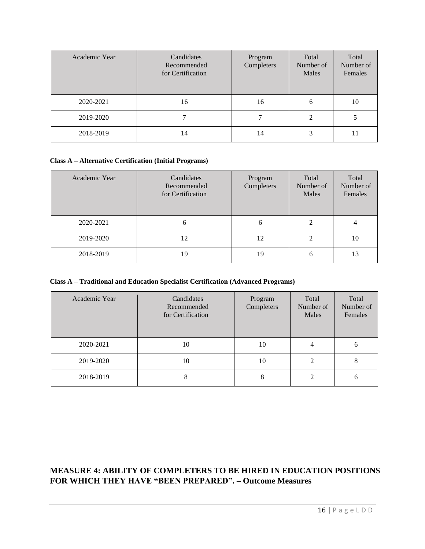| Academic Year | Candidates<br>Recommended<br>for Certification | Program<br>Completers | Total<br>Number of<br>Males | Total<br>Number of<br>Females |
|---------------|------------------------------------------------|-----------------------|-----------------------------|-------------------------------|
| 2020-2021     | 16                                             | 16                    | 6                           | 10                            |
| 2019-2020     |                                                |                       |                             |                               |
| 2018-2019     | 14                                             | 14                    | 3                           |                               |

#### **Class A – Alternative Certification (Initial Programs)**

| Academic Year | Candidates<br>Recommended<br>for Certification | Program<br>Completers | Total<br>Number of<br>Males | Total<br>Number of<br>Females |
|---------------|------------------------------------------------|-----------------------|-----------------------------|-------------------------------|
| 2020-2021     | 6                                              | 6                     |                             | 4                             |
| 2019-2020     | 12                                             | 12                    |                             | 10                            |
| 2018-2019     | 19                                             | 19                    | 6                           | 13                            |

#### **Class A – Traditional and Education Specialist Certification (Advanced Programs)**

| Academic Year | Candidates<br>Recommended<br>for Certification | Program<br>Completers | Total<br>Number of<br>Males | Total<br>Number of<br>Females |
|---------------|------------------------------------------------|-----------------------|-----------------------------|-------------------------------|
| 2020-2021     | 10                                             | 10                    |                             | 6                             |
| 2019-2020     | 10                                             | 10                    |                             | 8                             |
| 2018-2019     | 8                                              | 8                     |                             | 6                             |

# **MEASURE 4: ABILITY OF COMPLETERS TO BE HIRED IN EDUCATION POSITIONS FOR WHICH THEY HAVE "BEEN PREPARED". – Outcome Measures**